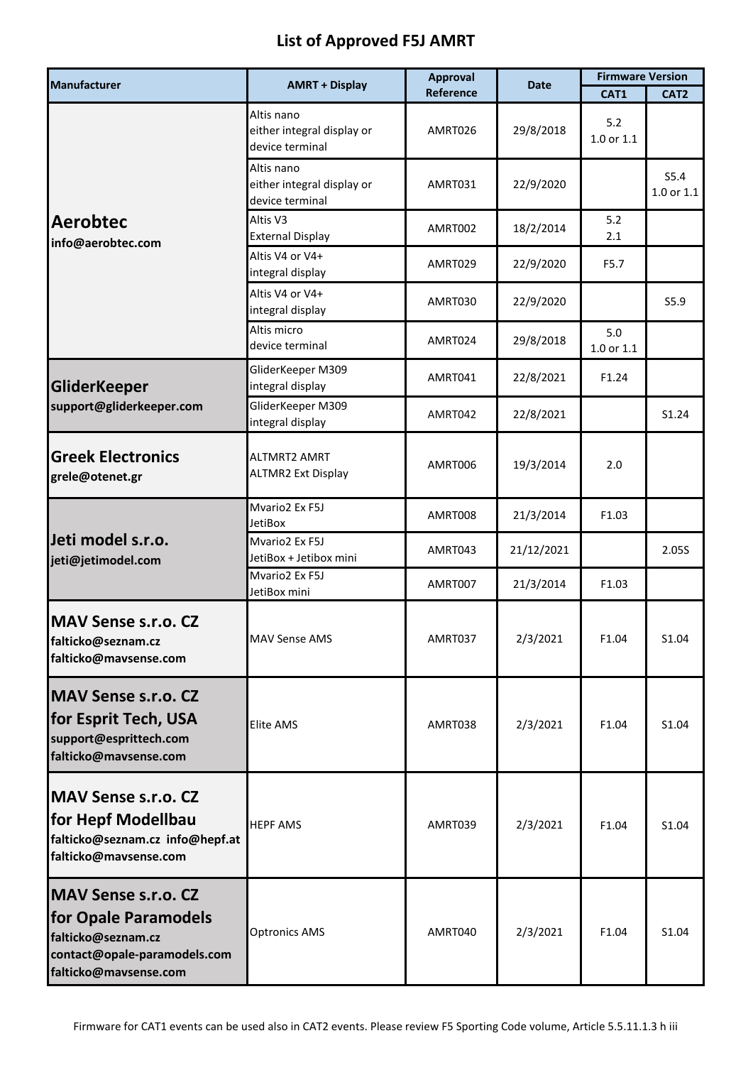## **List of Approved F5J AMRT**

| <b>Manufacturer</b>                                                                                                                      | <b>AMRT + Display</b>                                       | <b>Approval</b> | <b>Date</b> | <b>Firmware Version</b> |                        |
|------------------------------------------------------------------------------------------------------------------------------------------|-------------------------------------------------------------|-----------------|-------------|-------------------------|------------------------|
|                                                                                                                                          |                                                             | Reference       |             | CAT1                    | CAT <sub>2</sub>       |
| <b>Aerobtec</b><br>info@aerobtec.com                                                                                                     | Altis nano<br>either integral display or<br>device terminal | AMRT026         | 29/8/2018   | 5.2<br>1.0 or 1.1       |                        |
|                                                                                                                                          | Altis nano<br>either integral display or<br>device terminal | AMRT031         | 22/9/2020   |                         | S5.4<br>$1.0$ or $1.1$ |
|                                                                                                                                          | Altis V3<br><b>External Display</b>                         | AMRT002         | 18/2/2014   | 5.2<br>2.1              |                        |
|                                                                                                                                          | Altis V4 or V4+<br>integral display                         | AMRT029         | 22/9/2020   | F5.7                    |                        |
|                                                                                                                                          | Altis V4 or V4+<br>integral display                         | AMRT030         | 22/9/2020   |                         | S5.9                   |
|                                                                                                                                          | Altis micro<br>device terminal                              | AMRT024         | 29/8/2018   | 5.0<br>1.0 or 1.1       |                        |
| <b>GliderKeeper</b><br>support@gliderkeeper.com                                                                                          | GliderKeeper M309<br>integral display                       | AMRT041         | 22/8/2021   | F1.24                   |                        |
|                                                                                                                                          | GliderKeeper M309<br>integral display                       | AMRT042         | 22/8/2021   |                         | S1.24                  |
| <b>Greek Electronics</b><br>grele@otenet.gr                                                                                              | <b>ALTMRT2 AMRT</b><br><b>ALTMR2 Ext Display</b>            | AMRT006         | 19/3/2014   | 2.0                     |                        |
| Jeti model s.r.o.<br>jeti@jetimodel.com                                                                                                  | Mvario2 Ex F5J<br><b>JetiBox</b>                            | AMRT008         | 21/3/2014   | F1.03                   |                        |
|                                                                                                                                          | Mvario2 Ex F5J<br>JetiBox + Jetibox mini                    | AMRT043         | 21/12/2021  |                         | 2.055                  |
|                                                                                                                                          | Mvario2 Ex F5J<br>JetiBox mini                              | AMRT007         | 21/3/2014   | F1.03                   |                        |
| <b>MAV Sense s.r.o. CZ</b><br>falticko@seznam.cz<br>falticko@mavsense.com                                                                | <b>MAV Sense AMS</b>                                        | AMRT037         | 2/3/2021    | F1.04                   | S1.04                  |
| <b>MAV Sense s.r.o. CZ</b><br>for Esprit Tech, USA<br>support@esprittech.com<br>falticko@mavsense.com                                    | <b>Elite AMS</b>                                            | AMRT038         | 2/3/2021    | F1.04                   | S1.04                  |
| <b>MAV Sense s.r.o. CZ</b><br>for Hepf Modellbau<br>falticko@seznam.cz info@hepf.at<br>falticko@mavsense.com                             | <b>HEPF AMS</b>                                             | AMRT039         | 2/3/2021    | F1.04                   | S1.04                  |
| <b>MAV Sense s.r.o. CZ</b><br><b>for Opale Paramodels</b><br>falticko@seznam.cz<br>contact@opale-paramodels.com<br>falticko@mavsense.com | <b>Optronics AMS</b>                                        | AMRT040         | 2/3/2021    | F1.04                   | S1.04                  |